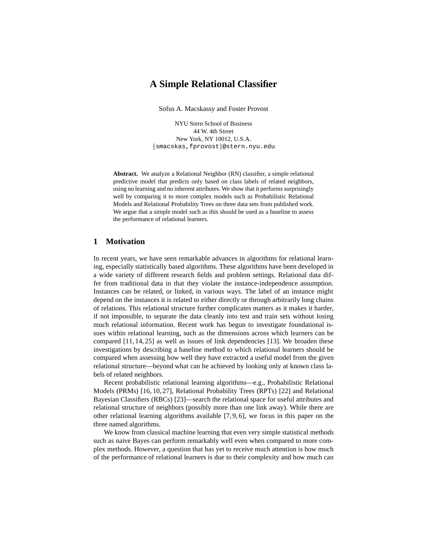# **A Simple Relational Classifier**

Sofus A. Macskassy and Foster Provost

NYU Stern School of Business 44 W. 4th Street New York, NY 10012, U.S.A. {smacskas,fprovost}@stern.nyu.edu

**Abstract.** We analyze a Relational Neighbor (RN) classifier, a simple relational predictive model that predicts only based on class labels of related neighbors, using no learning and no inherent attributes. We show that it performs surprisingly well by comparing it to more complex models such as Probabilistic Relational Models and Relational Probability Trees on three data sets from published work. We argue that a simple model such as this should be used as a baseline to assess the performance of relational learners.

## **1 Motivation**

In recent years, we have seen remarkable advances in algorithms for relational learning, especially statistically based algorithms. These algorithms have been developed in a wide variety of different research fields and problem settings. Relational data differ from traditional data in that they violate the instance-independence assumption. Instances can be related, or linked, in various ways. The label of an instance might depend on the instances it is related to either directly or through arbitrarily long chains of relations. This relational structure further complicates matters as it makes it harder, if not impossible, to separate the data cleanly into test and train sets without losing much relational information. Recent work has begun to investigate foundational issues within relational learning, such as the dimensions across which learners can be compared [11, 14, 25] as well as issues of link dependencies [13]. We broaden these investigations by describing a baseline method to which relational learners should be compared when assessing how well they have extracted a useful model from the given relational structure—beyond what can be achieved by looking only at known class labels of related neighbors.

Recent probabilistic relational learning algorithms—e.g., Probabilistic Relational Models (PRMs) [16, 10, 27], Relational Probability Trees (RPTs) [22] and Relational Bayesian Classifiers (RBCs) [23]—search the relational space for useful attributes and relational structure of neighbors (possibly more than one link away). While there are other relational learning algorithms available [7, 9, 6], we focus in this paper on the three named algorithms.

We know from classical machine learning that even very simple statistical methods such as naive Bayes can perform remarkably well even when compared to more complex methods. However, a question that has yet to receive much attention is how much of the performance of relational learners is due to their complexity and how much can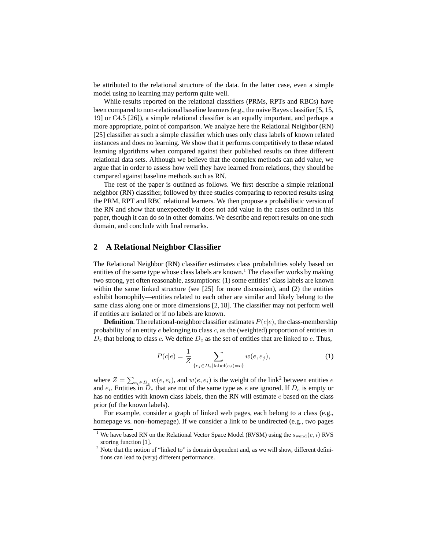be attributed to the relational structure of the data. In the latter case, even a simple model using no learning may perform quite well.

While results reported on the relational classifiers (PRMs, RPTs and RBCs) have been compared to non-relational baseline learners (e.g., the naive Bayes classifier [5, 15, 19] or C4.5 [26]), a simple relational classifier is an equally important, and perhaps a more appropriate, point of comparison. We analyze here the Relational Neighbor (RN) [25] classifier as such a simple classifier which uses only class labels of known related instances and does no learning. We show that it performs competitively to these related learning algorithms when compared against their published results on three different relational data sets. Although we believe that the complex methods can add value, we argue that in order to assess how well they have learned from relations, they should be compared against baseline methods such as RN.

The rest of the paper is outlined as follows. We first describe a simple relational neighbor (RN) classifier, followed by three studies comparing to reported results using the PRM, RPT and RBC relational learners. We then propose a probabilistic version of the RN and show that unexpectedly it does not add value in the cases outlined in this paper, though it can do so in other domains. We describe and report results on one such domain, and conclude with final remarks.

# **2 A Relational Neighbor Classifier**

The Relational Neighbor (RN) classifier estimates class probabilities solely based on entities of the same type whose class labels are known.<sup>1</sup> The classifier works by making two strong, yet often reasonable, assumptions: (1) some entities' class labels are known within the same linked structure (see [25] for more discussion), and (2) the entities exhibit homophily—entities related to each other are similar and likely belong to the same class along one or more dimensions [2, 18]. The classifier may not perform well if entities are isolated or if no labels are known.

**Definition**. The relational-neighbor classifier estimates  $P(c|e)$ , the class-membership probability of an entity  $e$  belonging to class  $c$ , as the (weighted) proportion of entities in  $D_e$  that belong to class c. We define  $D_e$  as the set of entities that are linked to e. Thus,

$$
P(c|e) = \frac{1}{Z} \sum_{\{e_j \in D_e | \text{label}(e_j) = c\}} w(e, e_j), \tag{1}
$$

where  $Z = \sum_{e_i \in D_e} w(e, e_i)$ , and  $w(e, e_i)$  is the weight of the link<sup>2</sup> between entities e and  $e_i$ . Entities in  $\bar{D}_e$  that are not of the same type as e are ignored. If  $D_e$  is empty or has no entities with known class labels, then the RN will estimate  $e$  based on the class prior (of the known labels).

For example, consider a graph of linked web pages, each belong to a class (e.g., homepage vs. non–homepage). If we consider a link to be undirected (e.g., two pages

<sup>&</sup>lt;sup>1</sup> We have based RN on the Relational Vector Space Model (RVSM) using the  $s_{\text{wend}}(e, i)$  RVS scoring function [1].

<sup>&</sup>lt;sup>2</sup> Note that the notion of "linked to" is domain dependent and, as we will show, different definitions can lead to (very) different performance.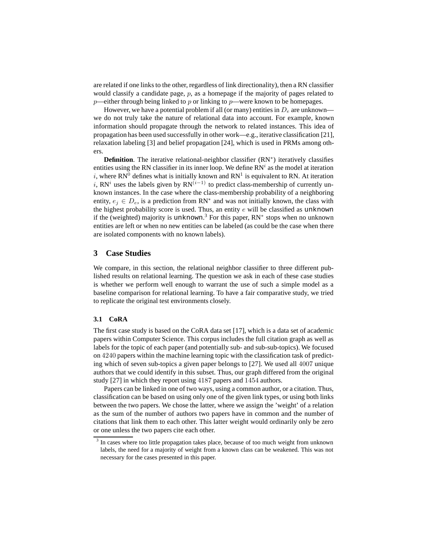are related if one links to the other, regardless of link directionality), then a RN classifier would classify a candidate page,  $p$ , as a homepage if the majority of pages related to  $p$ —either through being linked to p or linking to p—were known to be homepages.

However, we have a potential problem if all (or many) entities in  $D_e$  are unknown we do not truly take the nature of relational data into account. For example, known information should propagate through the network to related instances. This idea of propagation has been used successfully in other work—e.g., iterative classification [21], relaxation labeling [3] and belief propagation [24], which is used in PRMs among others.

**Definition**. The iterative relational-neighbor classifier (RN<sup>∗</sup>) iteratively classifies entities using the RN classifier in its inner loop. We define  $RN<sup>i</sup>$  as the model at iteration i, where RN<sup>0</sup> defines what is initially known and RN<sup>1</sup> is equivalent to RN. At iteration i, RN<sup>i</sup> uses the labels given by RN<sup>(i−1)</sup> to predict class-membership of currently unknown instances. In the case where the class-membership probability of a neighboring entity,  $e_i \in D_e$ , is a prediction from RN<sup>\*</sup> and was not initially known, the class with the highest probability score is used. Thus, an entity  $e$  will be classified as unknown if the (weighted) majority is unknown.<sup>3</sup> For this paper,  $RN^*$  stops when no unknown entities are left or when no new entities can be labeled (as could be the case when there are isolated components with no known labels).

## **3 Case Studies**

We compare, in this section, the relational neighbor classifier to three different published results on relational learning. The question we ask in each of these case studies is whether we perform well enough to warrant the use of such a simple model as a baseline comparison for relational learning. To have a fair comparative study, we tried to replicate the original test environments closely.

#### **3.1 CoRA**

The first case study is based on the CoRA data set [17], which is a data set of academic papers within Computer Science. This corpus includes the full citation graph as well as labels for the topic of each paper (and potentially sub- and sub-sub-topics). We focused on 4240 papers within the machine learning topic with the classification task of predicting which of seven sub-topics a given paper belongs to [27]. We used all 4007 unique authors that we could identify in this subset. Thus, our graph differed from the original study [27] in which they report using 4187 papers and 1454 authors.

Papers can be linked in one of two ways, using a common author, or a citation. Thus, classification can be based on using only one of the given link types, or using both links between the two papers. We chose the latter, where we assign the 'weight' of a relation as the sum of the number of authors two papers have in common and the number of citations that link them to each other. This latter weight would ordinarily only be zero or one unless the two papers cite each other.

<sup>&</sup>lt;sup>3</sup> In cases where too little propagation takes place, because of too much weight from unknown labels, the need for a majority of weight from a known class can be weakened. This was not necessary for the cases presented in this paper.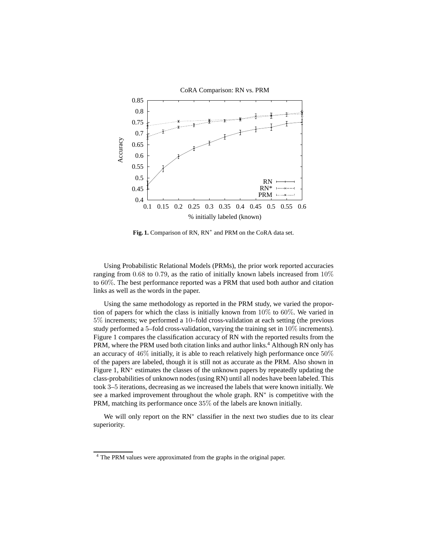

**Fig. 1.** Comparison of RN, RN<sup>∗</sup> and PRM on the CoRA data set.

Using Probabilistic Relational Models (PRMs), the prior work reported accuracies ranging from 0.68 to 0.79, as the ratio of initially known labels increased from  $10\%$ to 60%. The best performance reported was a PRM that used both author and citation links as well as the words in the paper.

Using the same methodology as reported in the PRM study, we varied the proportion of papers for which the class is initially known from 10% to 60%. We varied in 5% increments; we performed a 10–fold cross-validation at each setting (the previous study performed a 5–fold cross-validation, varying the training set in 10% increments). Figure 1 compares the classification accuracy of RN with the reported results from the PRM, where the PRM used both citation links and author links.<sup>4</sup> Although RN only has an accuracy of 46% initially, it is able to reach relatively high performance once 50% of the papers are labeled, though it is still not as accurate as the PRM. Also shown in Figure 1, RN<sup>∗</sup> estimates the classes of the unknown papers by repeatedly updating the class-probabilities of unknown nodes (using RN) until all nodes have been labeled. This took 3–5 iterations, decreasing as we increased the labels that were known initially. We see a marked improvement throughout the whole graph. RN<sup>∗</sup> is competitive with the PRM, matching its performance once 35% of the labels are known initially.

We will only report on the RN<sup>∗</sup> classifier in the next two studies due to its clear superiority.

<sup>4</sup> The PRM values were approximated from the graphs in the original paper.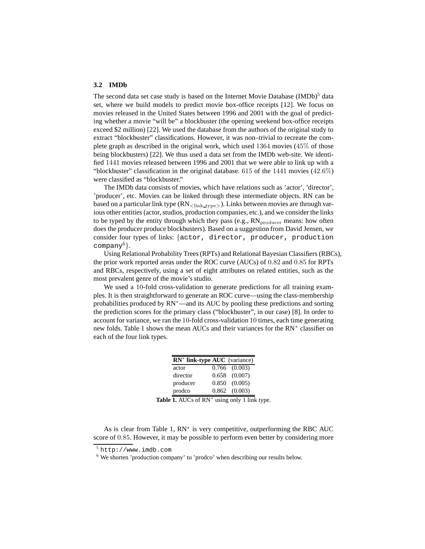#### **3.2 IMDb**

The second data set case study is based on the Internet Movie Database (IMDb)<sup>5</sup> data set, where we build models to predict movie box-office receipts [12]. We focus on movies released in the United States between 1996 and 2001 with the goal of predicting whether a movie "will be" a blockbuster (the opening weekend box-office receipts exceed \$2 million) [22]. We used the database from the authors of the original study to extract "blockbuster" classifications. However, it was non–trivial to recreate the complete graph as described in the original work, which used 1364 movies (45% of those being blockbusters) [22]. We thus used a data set from the IMDb web-site. We identified 1441 movies released between 1996 and 2001 that we were able to link up with a "blockbuster" classification in the original database.  $615$  of the  $1441$  movies  $(42.6\%)$ were classified as "blockbuster."

The IMDb data consists of movies, which have relations such as 'actor', 'director', 'producer', etc. Movies can be linked through these intermediate objects. RN can be based on a particular link type  $(RN_{\text{link-type}})$ . Links between movies are through various other entities (actor, studios, production companies, etc.), and we consider the links to be typed by the entity through which they pass (e.g.,  $RN_{\text{producer}}$  means: how often does the producer produce blockbusters). Based on a suggestion from David Jensen, we consider four types of links: {actor, director, producer, production company<sup> $6$ </sup>}.

Using Relational Probability Trees (RPTs) and Relational Bayesian Classifiers (RBCs), the prior work reported areas under the ROC curve (AUCs) of 0.82 and 0.85 for RPTs and RBCs, respectively, using a set of eight attributes on related entities, such as the most prevalent genre of the movie's studio.

We used a 10-fold cross-validation to generate predictions for all training examples. It is then straightforward to generate an ROC curve—using the class-membership probabilities produced by RN<sup>∗</sup>—and its AUC by pooling these predictions and sorting the prediction scores for the primary class ("blockbuster", in our case) [8]. In order to account for variance, we ran the 10-fold cross-validation 10 times, each time generating new folds. Table 1 shows the mean AUCs and their variances for the RN<sup>∗</sup> classifier on each of the four link types.

| $RN^*$ link-type AUC (variance) |                   |
|---------------------------------|-------------------|
| actor                           | $0.766$ $(0.003)$ |
| director                        | $0.658$ $(0.007)$ |
| producer                        | $0.850$ $(0.005)$ |
| prodco                          | $0.862$ $(0.003)$ |

**Table 1.** AUCs of RN<sup>∗</sup> using only 1 link type.

As is clear from Table 1, RN<sup>∗</sup> is very competitive, outperforming the RBC AUC score of 0.85. However, it may be possible to perform even better by considering more

<sup>5</sup> http://www.imdb.com

<sup>6</sup> We shorten 'production company' to 'prodco' when describing our results below.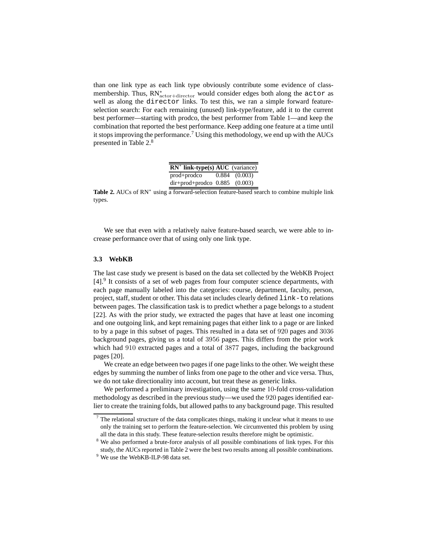than one link type as each link type obviously contribute some evidence of classmembership. Thus, RN<sup>\*</sup><sub>actor+director</sub> would consider edges both along the actor as well as along the director links. To test this, we ran a simple forward featureselection search: For each remaining (unused) link-type/feature, add it to the current best performer—starting with prodco, the best performer from Table 1—and keep the combination that reported the best performance. Keep adding one feature at a time until it stops improving the performance.<sup>7</sup> Using this methodology, we end up with the AUCs presented in Table 2.<sup>8</sup>

| $RN^*$ link-type(s) AUC (variance)  |                   |
|-------------------------------------|-------------------|
| prod+prodco                         | $0.884$ $(0.003)$ |
| $dir + prod + prodco$ 0.885 (0.003) |                   |

**Table 2.** AUCs of RN<sup>∗</sup> using a forward-selection feature-based search to combine multiple link types.

We see that even with a relatively naive feature-based search, we were able to increase performance over that of using only one link type.

## **3.3 WebKB**

The last case study we present is based on the data set collected by the WebKB Project [4].<sup>9</sup> It consists of a set of web pages from four computer science departments, with each page manually labeled into the categories: course, department, faculty, person, project, staff, student or other. This data set includes clearly defined link-to relations between pages. The classification task is to predict whether a page belongs to a student [22]. As with the prior study, we extracted the pages that have at least one incoming and one outgoing link, and kept remaining pages that either link to a page or are linked to by a page in this subset of pages. This resulted in a data set of 920 pages and 3036 background pages, giving us a total of 3956 pages. This differs from the prior work which had 910 extracted pages and a total of 3877 pages, including the background pages [20].

We create an edge between two pages if one page links to the other. We weight these edges by summing the number of links from one page to the other and vice versa. Thus, we do not take directionality into account, but treat these as generic links.

We performed a preliminary investigation, using the same 10-fold cross-validation methodology as described in the previous study—we used the 920 pages identified earlier to create the training folds, but allowed paths to any background page. This resulted

 $<sup>7</sup>$  The relational structure of the data complicates things, making it unclear what it means to use</sup> only the training set to perform the feature-selection. We circumvented this problem by using all the data in this study. These feature-selection results therefore might be optimistic.

<sup>&</sup>lt;sup>8</sup> We also performed a brute-force analysis of all possible combinations of link types. For this study, the AUCs reported in Table 2 were the best two results among all possible combinations.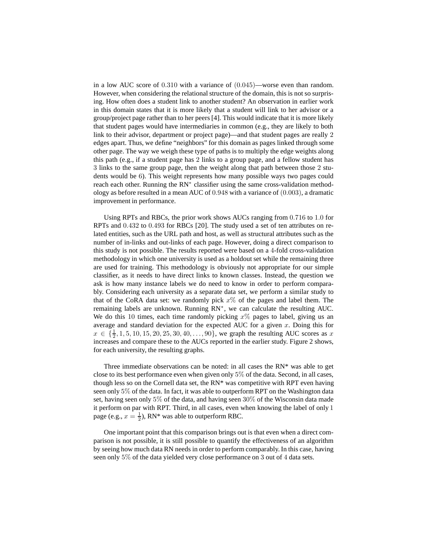in a low AUC score of  $(0.310 \text{ with a variance of } (0.045)$ —worse even than random. However, when considering the relational structure of the domain, this is not so surprising. How often does a student link to another student? An observation in earlier work in this domain states that it is more likely that a student will link to her advisor or a group/project page rather than to her peers [4]. This would indicate that it is more likely that student pages would have intermediaries in common (e.g., they are likely to both link to their advisor, department or project page)—and that student pages are really 2 edges apart. Thus, we define "neighbors" for this domain as pages linked through some other page. The way we weigh these type of paths is to multiply the edge weights along this path (e.g., if a student page has 2 links to a group page, and a fellow student has 3 links to the same group page, then the weight along that path between those 2 students would be 6). This weight represents how many possible ways two pages could reach each other. Running the RN<sup>∗</sup> classifier using the same cross-validation methodology as before resulted in a mean AUC of 0.948 with a variance of (0.003), a dramatic improvement in performance.

Using RPTs and RBCs, the prior work shows AUCs ranging from 0.716 to 1.0 for RPTs and 0.432 to 0.493 for RBCs [20]. The study used a set of ten attributes on related entities, such as the URL path and host, as well as structural attributes such as the number of in-links and out-links of each page. However, doing a direct comparison to this study is not possible. The results reported were based on a 4-fold cross-validation methodology in which one university is used as a holdout set while the remaining three are used for training. This methodology is obviously not appropriate for our simple classifier, as it needs to have direct links to known classes. Instead, the question we ask is how many instance labels we do need to know in order to perform comparably. Considering each university as a separate data set, we perform a similar study to that of the CoRA data set: we randomly pick  $x\%$  of the pages and label them. The remaining labels are unknown. Running RN<sup>∗</sup>, we can calculate the resulting AUC. We do this 10 times, each time randomly picking  $x\%$  pages to label, giving us an average and standard deviation for the expected AUC for a given  $x$ . Doing this for  $x \in {\frac{1}{2}, 1, 5, 10, 15, 20, 25, 30, 40, \ldots, 90}$ , we graph the resulting AUC scores as x increases and compare these to the AUCs reported in the earlier study. Figure 2 shows, for each university, the resulting graphs.

Three immediate observations can be noted: in all cases the RN\* was able to get close to its best performance even when given only 5% of the data. Second, in all cases, though less so on the Cornell data set, the RN\* was competitive with RPT even having seen only 5% of the data. In fact, it was able to outperform RPT on the Washington data set, having seen only 5% of the data, and having seen 30% of the Wisconsin data made it perform on par with RPT. Third, in all cases, even when knowing the label of only 1 page (e.g.,  $x = \frac{1}{2}$ ), RN\* was able to outperform RBC.

One important point that this comparison brings out is that even when a direct comparison is not possible, it is still possible to quantify the effectiveness of an algorithm by seeing how much data RN needs in order to perform comparably. In this case, having seen only 5% of the data yielded very close performance on 3 out of 4 data sets.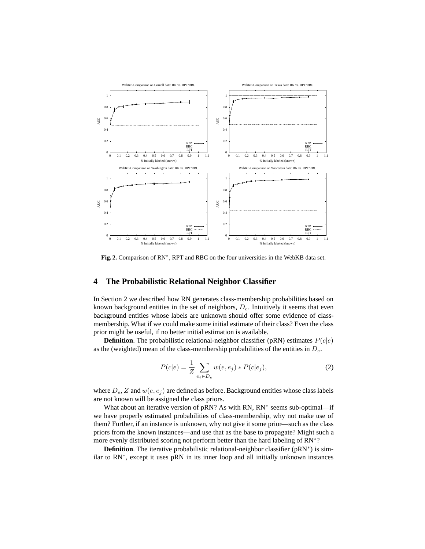

**Fig. 2.** Comparison of RN∗, RPT and RBC on the four universities in the WebKB data set.

## **4 The Probabilistic Relational Neighbor Classifier**

In Section 2 we described how RN generates class-membership probabilities based on known background entities in the set of neighbors,  $D_e$ . Intuitively it seems that even background entities whose labels are unknown should offer some evidence of classmembership. What if we could make some initial estimate of their class? Even the class prior might be useful, if no better initial estimation is available.

**Definition**. The probabilistic relational-neighbor classifier (pRN) estimates  $P(c|e)$ as the (weighted) mean of the class-membership probabilities of the entities in  $D_e$ .

$$
P(c|e) = \frac{1}{Z} \sum_{e_j \in D_e} w(e, e_j) * P(c|e_j),
$$
 (2)

where  $D_e$ , Z and  $w(e, e_i)$  are defined as before. Background entities whose class labels are not known will be assigned the class priors.

What about an iterative version of pRN? As with RN, RN<sup>∗</sup> seems sub-optimal—if we have properly estimated probabilities of class-membership, why not make use of them? Further, if an instance is unknown, why not give it some prior—such as the class priors from the known instances—and use that as the base to propagate? Might such a more evenly distributed scoring not perform better than the hard labeling of RN<sup>∗</sup>?

**Definition**. The iterative probabilistic relational-neighbor classifier (pRN<sup>∗</sup>) is similar to RN<sup>∗</sup>, except it uses pRN in its inner loop and all initially unknown instances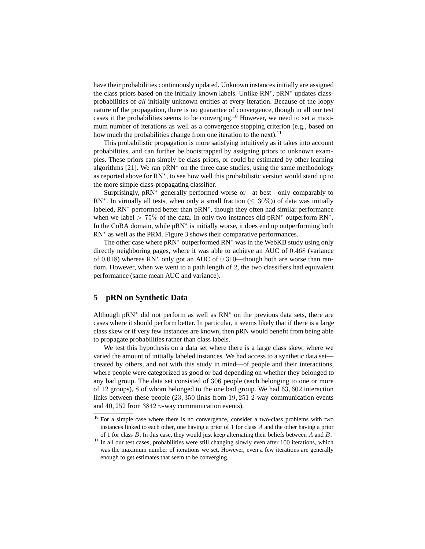have their probabilities continuously updated. Unknown instances initially are assigned the class priors based on the initially known labels. Unlike RN<sup>∗</sup>, pRN<sup>∗</sup> updates classprobabilities of *all* initially unknown entities at every iteration. Because of the loopy nature of the propagation, there is no guarantee of convergence, though in all our test cases it the probabilities seems to be converging.10 However, we need to set a maximum number of iterations as well as a convergence stopping criterion (e.g., based on how much the probabilities change from one iteration to the next).<sup>11</sup>

This probabilistic propagation is more satisfying intuitively as it takes into account probabilities, and can further be bootstrapped by assigning priors to unknown examples. These priors can simply be class priors, or could be estimated by other learning algorithms [21]. We ran  $pRN^*$  on the three case studies, using the same methodology as reported above for RN<sup>∗</sup>, to see how well this probabilistic version would stand up to the more simple class-propagating classifier.

Surprisingly, pRN<sup>∗</sup> generally performed worse or—at best—only comparably to  $RN^*$ . In virtually all tests, when only a small fraction ( $\leq 30\%)$ ) of data was initially labeled, RN<sup>∗</sup> performed better than pRN<sup>∗</sup>, though they often had similar performance when we label >  $75\%$  of the data. In only two instances did pRN<sup>\*</sup> outperform RN<sup>\*</sup>. In the CoRA domain, while pRN<sup>∗</sup> is initially worse, it does end up outperforming both RN<sup>∗</sup> as well as the PRM. Figure 3 shows their comparative performances.

The other case where pRN<sup>∗</sup> outperformed RN<sup>∗</sup> was in the WebKB study using only directly neighboring pages, where it was able to achieve an AUC of 0.468 (variance of 0.018) whereas RN<sup>∗</sup> only got an AUC of 0.310—though both are worse than random. However, when we went to a path length of 2, the two classifiers had equivalent performance (same mean AUC and variance).

# **5 pRN on Synthetic Data**

Although pRN<sup>∗</sup> did not perform as well as  $RN^*$  on the previous data sets, there are cases where it should perform better. In particular, it seems likely that if there is a large class skew or if very few instances are known, then pRN would benefit from being able to propagate probabilities rather than class labels.

We test this hypothesis on a data set where there is a large class skew, where we varied the amount of initially labeled instances. We had access to a synthetic data set created by others, and not with this study in mind—of people and their interactions, where people were categorized as good or bad depending on whether they belonged to any bad group. The data set consisted of 306 people (each belonging to one or more of 12 groups), 8 of whom belonged to the one bad group. We had 63, 602 interaction links between these people (23, 350 links from 19, 251 2-way communication events and 40, 252 from 3842 n-way communication events).

<sup>&</sup>lt;sup>10</sup> For a simple case where there is no convergence, consider a two-class problems with two instances linked to each other, one having a prior of 1 for class A and the other having a prior of 1 for class  $B$ . In this case, they would just keep alternating their beliefs between  $A$  and  $B$ .

 $11$  In all our test cases, probabilities were still changing slowly even after 100 iterations, which was the maximum number of iterations we set. However, even a few iterations are generally enough to get estimates that seem to be converging.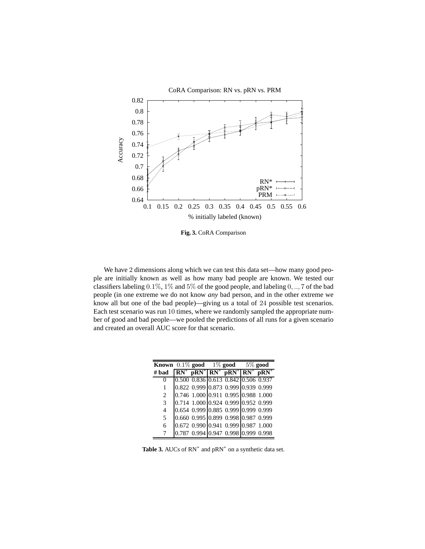

**Fig. 3.** CoRA Comparison

We have 2 dimensions along which we can test this data set—how many good people are initially known as well as how many bad people are known. We tested our classifiers labeling  $0.1\%$ ,  $1\%$  and  $5\%$  of the good people, and labeling  $0, \ldots, 7$  of the bad people (in one extreme we do not know *any* bad person, and in the other extreme we know all but one of the bad people)—giving us a total of 24 possible test scenarios. Each test scenario was run 10 times, where we randomly sampled the appropriate number of good and bad people—we pooled the predictions of all runs for a given scenario and created an overall AUC score for that scenario.

| <b>Known</b> $0.1\%$ good $1\%$ good $5\%$ good |  |                                                 |  |
|-------------------------------------------------|--|-------------------------------------------------|--|
| # bad                                           |  | $RN^*$ p $RN^*$ $RN^*$ p $RN^*$ $RN^*$ p $RN^*$ |  |
| $\Omega$                                        |  | 0.500 0.836 0.613 0.842 0.506 0.937             |  |
|                                                 |  | 0.822 0.999 0.873 0.999 0.939 0.999             |  |
| 2                                               |  | 0.746 1.000 0.911 0.995 0.988 1.000             |  |
| $\mathfrak{Z}$                                  |  | 0.714 1.000 0.924 0.999 0.952 0.999             |  |
| 4                                               |  | 0.654 0.999 0.885 0.999 0.999 0.999             |  |
| $\mathfrak{F}$                                  |  | 0.660 0.995 0.899 0.998 0.987 0.999             |  |
| 6                                               |  | 0.672 0.990 0.941 0.999 0.987 1.000             |  |
| 7                                               |  | 0.787 0.994 0.947 0.998 0.999 0.998             |  |

**Table 3.** AUCs of RN<sup>∗</sup> and pRN<sup>∗</sup> on a synthetic data set.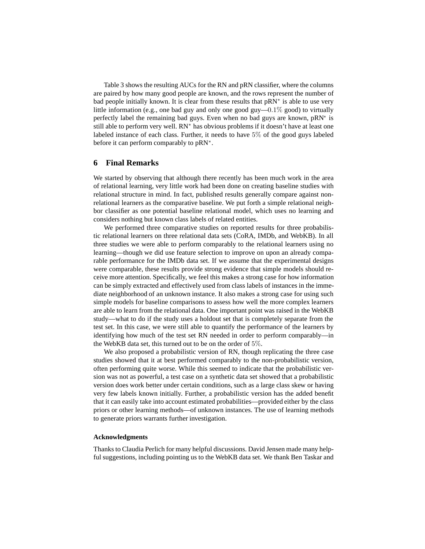Table 3 shows the resulting AUCs for the RN and pRN classifier, where the columns are paired by how many good people are known, and the rows represent the number of bad people initially known. It is clear from these results that  $pRN^*$  is able to use very little information (e.g., one bad guy and only one good guy— $0.1\%$  good) to virtually perfectly label the remaining bad guys. Even when no bad guys are known, pRN<sup>∗</sup> is still able to perform very well. RN<sup>∗</sup> has obvious problems if it doesn't have at least one labeled instance of each class. Further, it needs to have 5% of the good guys labeled before it can perform comparably to pRN<sup>∗</sup>.

### **6 Final Remarks**

We started by observing that although there recently has been much work in the area of relational learning, very little work had been done on creating baseline studies with relational structure in mind. In fact, published results generally compare against nonrelational learners as the comparative baseline. We put forth a simple relational neighbor classifier as one potential baseline relational model, which uses no learning and considers nothing but known class labels of related entities.

We performed three comparative studies on reported results for three probabilistic relational learners on three relational data sets (CoRA, IMDb, and WebKB). In all three studies we were able to perform comparably to the relational learners using no learning—though we did use feature selection to improve on upon an already comparable performance for the IMDb data set. If we assume that the experimental designs were comparable, these results provide strong evidence that simple models should receive more attention. Specifically, we feel this makes a strong case for how information can be simply extracted and effectively used from class labels of instances in the immediate neighborhood of an unknown instance. It also makes a strong case for using such simple models for baseline comparisons to assess how well the more complex learners are able to learn from the relational data. One important point was raised in the WebKB study—what to do if the study uses a holdout set that is completely separate from the test set. In this case, we were still able to quantify the performance of the learners by identifying how much of the test set RN needed in order to perform comparably—in the WebKB data set, this turned out to be on the order of 5%.

We also proposed a probabilistic version of RN, though replicating the three case studies showed that it at best performed comparably to the non-probabilistic version, often performing quite worse. While this seemed to indicate that the probabilistic version was not as powerful, a test case on a synthetic data set showed that a probabilistic version does work better under certain conditions, such as a large class skew or having very few labels known initially. Further, a probabilistic version has the added benefit that it can easily take into account estimated probabilities—provided either by the class priors or other learning methods—of unknown instances. The use of learning methods to generate priors warrants further investigation.

#### **Acknowledgments**

Thanks to Claudia Perlich for many helpful discussions. David Jensen made many helpful suggestions, including pointing us to the WebKB data set. We thank Ben Taskar and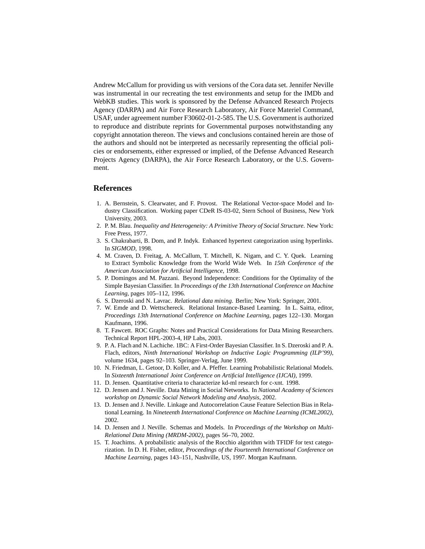Andrew McCallum for providing us with versions of the Cora data set. Jennifer Neville was instrumental in our recreating the test environments and setup for the IMDb and WebKB studies. This work is sponsored by the Defense Advanced Research Projects Agency (DARPA) and Air Force Research Laboratory, Air Force Materiel Command, USAF, under agreement number F30602-01-2-585. The U.S. Government is authorized to reproduce and distribute reprints for Governmental purposes notwithstanding any copyright annotation thereon. The views and conclusions contained herein are those of the authors and should not be interpreted as necessarily representing the official policies or endorsements, either expressed or implied, of the Defense Advanced Research Projects Agency (DARPA), the Air Force Research Laboratory, or the U.S. Government.

## **References**

- 1. A. Bernstein, S. Clearwater, and F. Provost. The Relational Vector-space Model and Industry Classification. Working paper CDeR IS-03-02, Stern School of Business, New York University, 2003.
- 2. P. M. Blau. *Inequality and Heterogeneity: A Primitive Theory of Social Structure*. New York: Free Press, 1977.
- 3. S. Chakrabarti, B. Dom, and P. Indyk. Enhanced hypertext categorization using hyperlinks. In *SIGMOD*, 1998.
- 4. M. Craven, D. Freitag, A. McCallum, T. Mitchell, K. Nigam, and C. Y. Quek. Learning to Extract Symbolic Knowledge from the World Wide Web. In *15th Conference of the American Association for Artificial Intelligence*, 1998.
- 5. P. Domingos and M. Pazzani. Beyond Independence: Conditions for the Optimality of the Simple Bayesian Classifier. In *Proceedings of the 13th International Conference on Machine Learning*, pages 105–112, 1996.
- 6. S. Dzeroski and N. Lavrac. *Relational data mining*. Berlin; New York: Springer, 2001.
- 7. W. Emde and D. Wettschereck. Relational Instance-Based Learning. In L. Saitta, editor, *Proceedings 13th International Conference on Machine Learning*, pages 122–130. Morgan Kaufmann, 1996.
- 8. T. Fawcett. ROC Graphs: Notes and Practical Considerations for Data Mining Researchers. Technical Report HPL-2003-4, HP Labs, 2003.
- 9. P. A. Flach and N. Lachiche. 1BC: A First-Order Bayesian Classifier. In S. Dzeroski and P. A. Flach, editors, *Ninth International Workshop on Inductive Logic Programming (ILP'99)*, volume 1634, pages 92–103. Springer-Verlag, June 1999.
- 10. N. Friedman, L. Getoor, D. Koller, and A. Pfeffer. Learning Probabilistic Relational Models. In *Sixteenth International Joint Conference on Artificial Intelligence (IJCAI)*, 1999.
- 11. D. Jensen. Quantitative criteria to characterize kd-ml research for c-xnt. 1998.
- 12. D. Jensen and J. Neville. Data Mining in Social Networks. In *National Academy of Sciences workshop on Dynamic Social Network Modeling and Analysis*, 2002.
- 13. D. Jensen and J. Neville. Linkage and Autocorrelation Cause Feature Selection Bias in Relational Learning. In *Nineteenth International Conference on Machine Learning (ICML2002)*, 2002.
- 14. D. Jensen and J. Neville. Schemas and Models. In *Proceedings of the Workshop on Multi-Relational Data Mining (MRDM-2002)*, pages 56–70, 2002.
- 15. T. Joachims. A probabilistic analysis of the Rocchio algorithm with TFIDF for text categorization. In D. H. Fisher, editor, *Proceedings of the Fourteenth International Conference on Machine Learning*, pages 143–151, Nashville, US, 1997. Morgan Kaufmann.